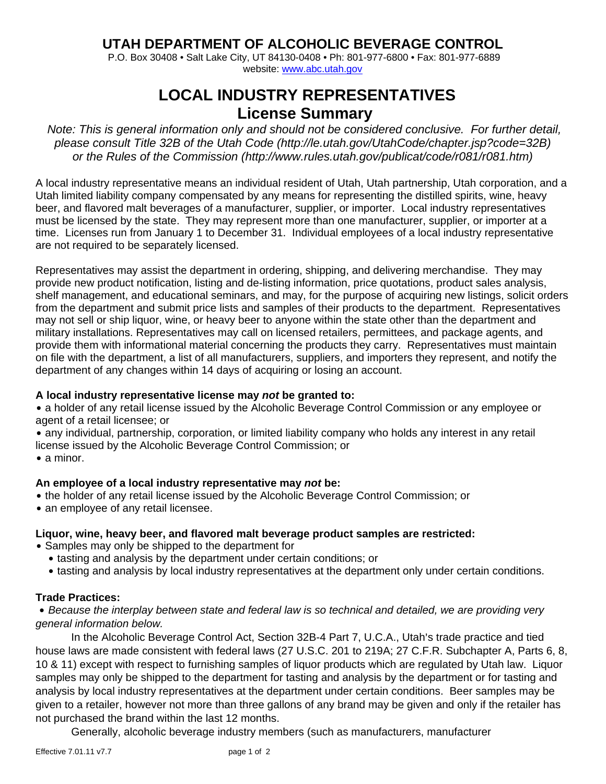# **UTAH DEPARTMENT OF ALCOHOLIC BEVERAGE CONTROL**

 P.O. Box 30408 • Salt Lake City, UT 84130-0408 • Ph: 801-977-6800 • Fax: 801-977-6889 website: www.abc.utah.gov

# **LOCAL INDUSTRY REPRESENTATIVES License Summary**

*Note: This is general information only and should not be considered conclusive. For further detail, please consult Title 32B of the Utah Code (http://le.utah.gov/UtahCode/chapter.jsp?code=32B) or the Rules of the Commission (http://www.rules.utah.gov/publicat/code/r081/r081.htm)* 

A local industry representative means an individual resident of Utah, Utah partnership, Utah corporation, and a Utah limited liability company compensated by any means for representing the distilled spirits, wine, heavy beer, and flavored malt beverages of a manufacturer, supplier, or importer. Local industry representatives must be licensed by the state. They may represent more than one manufacturer, supplier, or importer at a time. Licenses run from January 1 to December 31. Individual employees of a local industry representative are not required to be separately licensed.

Representatives may assist the department in ordering, shipping, and delivering merchandise. They may provide new product notification, listing and de-listing information, price quotations, product sales analysis, shelf management, and educational seminars, and may, for the purpose of acquiring new listings, solicit orders from the department and submit price lists and samples of their products to the department. Representatives may not sell or ship liquor, wine, or heavy beer to anyone within the state other than the department and military installations. Representatives may call on licensed retailers, permittees, and package agents, and provide them with informational material concerning the products they carry. Representatives must maintain on file with the department, a list of all manufacturers, suppliers, and importers they represent, and notify the department of any changes within 14 days of acquiring or losing an account.

### **A local industry representative license may** *not* **be granted to:**

• a holder of any retail license issued by the Alcoholic Beverage Control Commission or any employee or agent of a retail licensee; or

• any individual, partnership, corporation, or limited liability company who holds any interest in any retail license issued by the Alcoholic Beverage Control Commission; or

 $\bullet$  a minor.

# **An employee of a local industry representative may** *not* **be:**

- the holder of any retail license issued by the Alcoholic Beverage Control Commission; or
- an employee of any retail licensee.

# **Liquor, wine, heavy beer, and flavored malt beverage product samples are restricted:**

- Samples may only be shipped to the department for
	- tasting and analysis by the department under certain conditions; or
	- tasting and analysis by local industry representatives at the department only under certain conditions.

#### **Trade Practices:**

• Because the interplay between state and federal law is so technical and detailed, we are providing very *general information below.* 

In the Alcoholic Beverage Control Act, Section 32B-4 Part 7, U.C.A., Utah's trade practice and tied house laws are made consistent with federal laws (27 U.S.C. 201 to 219A; 27 C.F.R. Subchapter A, Parts 6, 8, 10 & 11) except with respect to furnishing samples of liquor products which are regulated by Utah law. Liquor samples may only be shipped to the department for tasting and analysis by the department or for tasting and analysis by local industry representatives at the department under certain conditions. Beer samples may be given to a retailer, however not more than three gallons of any brand may be given and only if the retailer has not purchased the brand within the last 12 months.

Generally, alcoholic beverage industry members (such as manufacturers, manufacturer